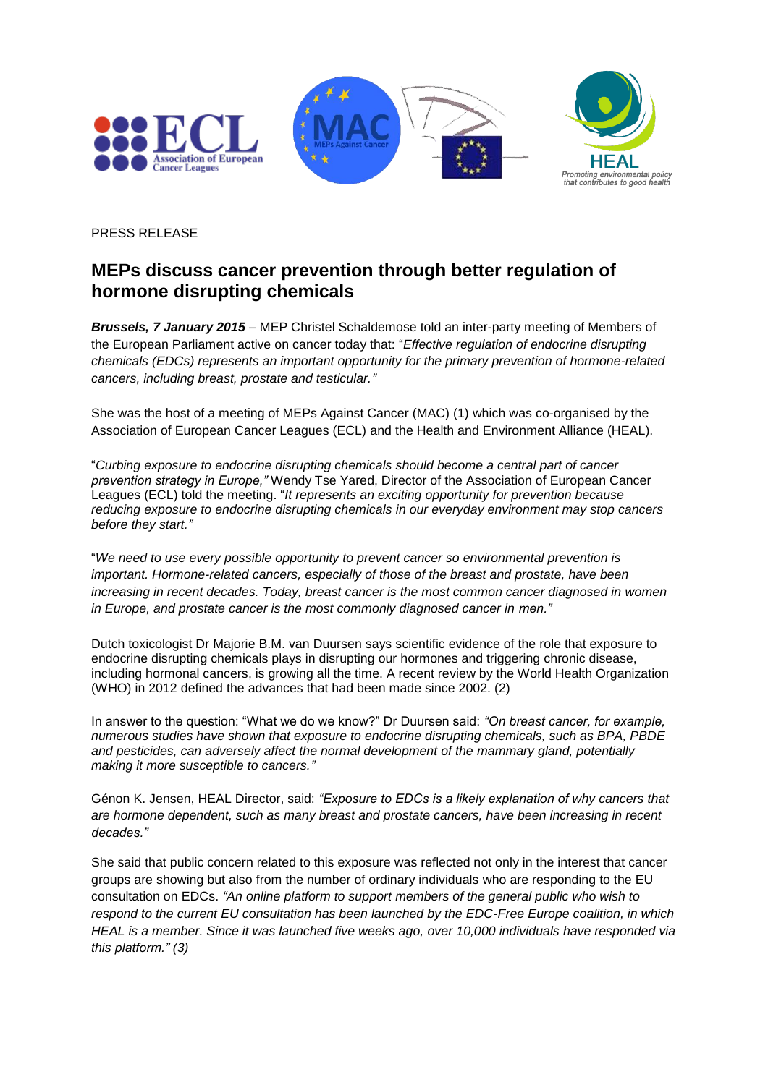

PRESS RELEASE

## **MEPs discuss cancer prevention through better regulation of hormone disrupting chemicals**

*Brussels, 7 January 2015* – MEP Christel Schaldemose told an inter-party meeting of Members of the European Parliament active on cancer today that: "*Effective regulation of endocrine disrupting chemicals (EDCs) represents an important opportunity for the primary prevention of hormone-related cancers, including breast, prostate and testicular."* 

She was the host of a meeting of MEPs Against Cancer (MAC) (1) which was co-organised by the Association of European Cancer Leagues (ECL) and the Health and Environment Alliance (HEAL).

"*Curbing exposure to endocrine disrupting chemicals should become a central part of cancer prevention strategy in Europe,"* Wendy Tse Yared, Director of the Association of European Cancer Leagues (ECL) told the meeting. "*It represents an exciting opportunity for prevention because reducing exposure to endocrine disrupting chemicals in our everyday environment may stop cancers before they start."*

"*We need to use every possible opportunity to prevent cancer so environmental prevention is important. Hormone-related cancers, especially of those of the breast and prostate, have been increasing in recent decades. Today, breast cancer is the most common cancer diagnosed in women in Europe, and prostate cancer is the most commonly diagnosed cancer in men."*

Dutch toxicologist Dr Majorie B.M. van Duursen says scientific evidence of the role that exposure to endocrine disrupting chemicals plays in disrupting our hormones and triggering chronic disease, including hormonal cancers, is growing all the time. A recent review by the World Health Organization (WHO) in 2012 defined the advances that had been made since 2002. (2)

In answer to the question: "What we do we know?" Dr Duursen said: *"On breast cancer, for example, numerous studies have shown that exposure to endocrine disrupting chemicals, such as BPA, PBDE and pesticides, can adversely affect the normal development of the mammary gland, potentially making it more susceptible to cancers."*

Génon K. Jensen, HEAL Director, said: *"Exposure to EDCs is a likely explanation of why cancers that are hormone dependent, such as many breast and prostate cancers, have been increasing in recent decades."*

She said that public concern related to this exposure was reflected not only in the interest that cancer groups are showing but also from the number of ordinary individuals who are responding to the EU consultation on EDCs. *"An online platform to support members of the general public who wish to respond to the current EU consultation has been launched by the EDC-Free Europe coalition, in which HEAL is a member. Since it was launched five weeks ago, over 10,000 individuals have responded via this platform." (3)*